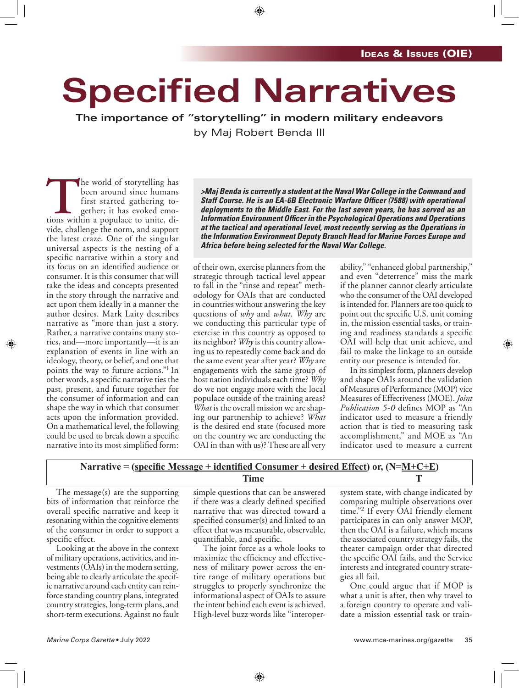## **Specified Narratives**

**The importance of "storytelling" in modern military endeavors** by Maj Robert Benda III

The world of storytelling has<br>
been around since humans<br>
first started gathering to-<br>
gether; it has evoked emo-<br>
tions within a populace to unite, dibeen around since humans first started gathering together; it has evoked emovide, challenge the norm, and support the latest craze. One of the singular universal aspects is the nesting of a specific narrative within a story and its focus on an identified audience or consumer. It is this consumer that will take the ideas and concepts presented in the story through the narrative and act upon them ideally in a manner the author desires. Mark Laity describes narrative as "more than just a story. Rather, a narrative contains many stories, and—more importantly—it is an explanation of events in line with an ideology, theory, or belief, and one that points the way to future actions."1 In other words, a specific narrative ties the past, present, and future together for the consumer of information and can shape the way in which that consumer acts upon the information provided. On a mathematical level, the following could be used to break down a specific narrative into its most simplified form:

*>Maj Benda is currently a student at the Naval War College in the Command and Staff Course. He is an EA-6B Electronic Warfare Officer (7588) with operational deployments to the Middle East. For the last seven years, he has served as an Information Environment Officer in the Psychological Operations and Operations at the tactical and operational level, most recently serving as the Operations in the Information Environment Deputy Branch Head for Marine Forces Europe and Africa before being selected for the Naval War College.*

of their own, exercise planners from the strategic through tactical level appear to fall in the "rinse and repeat" methodology for OAIs that are conducted in countries without answering the key questions of *why* and *what. Why* are we conducting this particular type of exercise in this country as opposed to its neighbor? *Why* is this country allowing us to repeatedly come back and do the same event year after year? *Why* are engagements with the same group of host nation individuals each time? *Why* do we not engage more with the local populace outside of the training areas? *What* is the overall mission we are shaping our partnership to achieve? *What* is the desired end state (focused more on the country we are conducting the OAI in than with us)? These are all very

ability," "enhanced global partnership," and even "deterrence" miss the mark if the planner cannot clearly articulate who the consumer of the OAI developed is intended for. Planners are too quick to point out the specific U.S. unit coming in, the mission essential tasks, or training and readiness standards a specific OAI will help that unit achieve, and fail to make the linkage to an outside entity our presence is intended for.

In its simplest form, planners develop and shape OAIs around the validation of Measures of Performance (MOP) vice Measures of Effectiveness (MOE). *Joint Publication 5-0* defines MOP as "An indicator used to measure a friendly action that is tied to measuring task accomplishment," and MOE as "An indicator used to measure a current

## **Narrative = (specific Message + identified Consumer + desired Effect) or, (N=M+C+E) Time T**

The message(s) are the supporting bits of information that reinforce the overall specific narrative and keep it resonating within the cognitive elements of the consumer in order to support a specific effect.

Looking at the above in the context of military operations, activities, and investments (OAIs) in the modern setting, being able to clearly articulate the specific narrative around each entity can reinforce standing country plans, integrated country strategies, long-term plans, and short-term executions. Against no fault

simple questions that can be answered if there was a clearly defined specified narrative that was directed toward a specified consumer(s) and linked to an effect that was measurable, observable, quantifiable, and specific.

The joint force as a whole looks to maximize the efficiency and effectiveness of military power across the entire range of military operations but struggles to properly synchronize the informational aspect of OAIs to assure the intent behind each event is achieved. High-level buzz words like "interopersystem state, with change indicated by comparing multiple observations over time."<sup>2</sup> If every OAI friendly element participates in can only answer MOP, then the OAI is a failure, which means the associated country strategy fails, the theater campaign order that directed the specific OAI fails, and the Service interests and integrated country strategies all fail.

One could argue that if MOP is what a unit is after, then why travel to a foreign country to operate and validate a mission essential task or train-